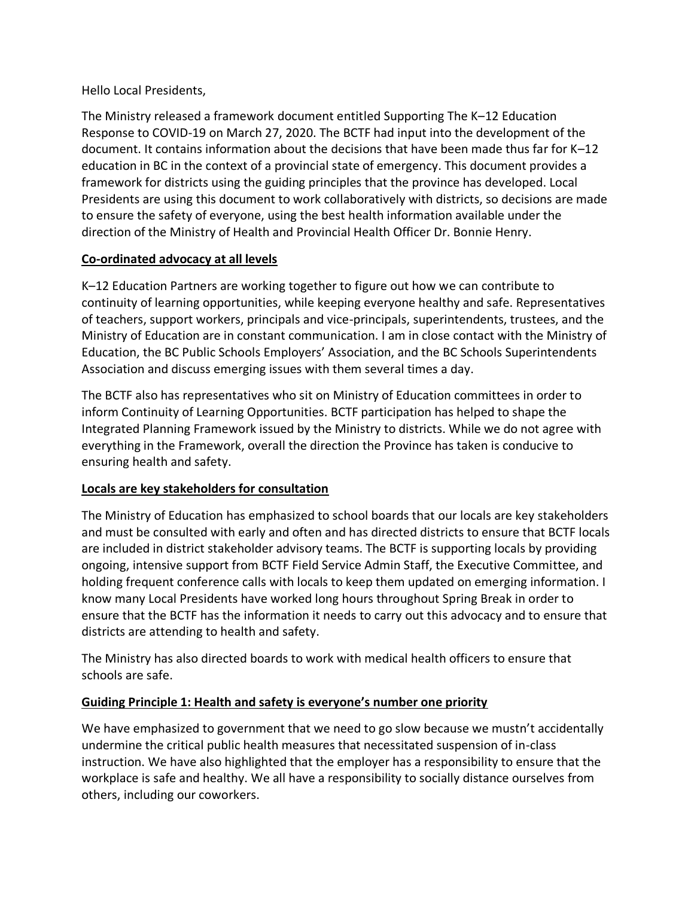Hello Local Presidents,

The Ministry released a framework document entitled Supporting The K–12 Education Response to COVID-19 on March 27, 2020. The BCTF had input into the development of the document. It contains information about the decisions that have been made thus far for K–12 education in BC in the context of a provincial state of emergency. This document provides a framework for districts using the guiding principles that the province has developed. Local Presidents are using this document to work collaboratively with districts, so decisions are made to ensure the safety of everyone, using the best health information available under the direction of the Ministry of Health and Provincial Health Officer Dr. Bonnie Henry.

# **Co-ordinated advocacy at all levels**

K–12 Education Partners are working together to figure out how we can contribute to continuity of learning opportunities, while keeping everyone healthy and safe. Representatives of teachers, support workers, principals and vice-principals, superintendents, trustees, and the Ministry of Education are in constant communication. I am in close contact with the Ministry of Education, the BC Public Schools Employers' Association, and the BC Schools Superintendents Association and discuss emerging issues with them several times a day.

The BCTF also has representatives who sit on Ministry of Education committees in order to inform Continuity of Learning Opportunities. BCTF participation has helped to shape the Integrated Planning Framework issued by the Ministry to districts. While we do not agree with everything in the Framework, overall the direction the Province has taken is conducive to ensuring health and safety.

# **Locals are key stakeholders for consultation**

The Ministry of Education has emphasized to school boards that our locals are key stakeholders and must be consulted with early and often and has directed districts to ensure that BCTF locals are included in district stakeholder advisory teams. The BCTF is supporting locals by providing ongoing, intensive support from BCTF Field Service Admin Staff, the Executive Committee, and holding frequent conference calls with locals to keep them updated on emerging information. I know many Local Presidents have worked long hours throughout Spring Break in order to ensure that the BCTF has the information it needs to carry out this advocacy and to ensure that districts are attending to health and safety.

The Ministry has also directed boards to work with medical health officers to ensure that schools are safe.

# **Guiding Principle 1: Health and safety is everyone's number one priority**

We have emphasized to government that we need to go slow because we mustn't accidentally undermine the critical public health measures that necessitated suspension of in-class instruction. We have also highlighted that the employer has a responsibility to ensure that the workplace is safe and healthy. We all have a responsibility to socially distance ourselves from others, including our coworkers.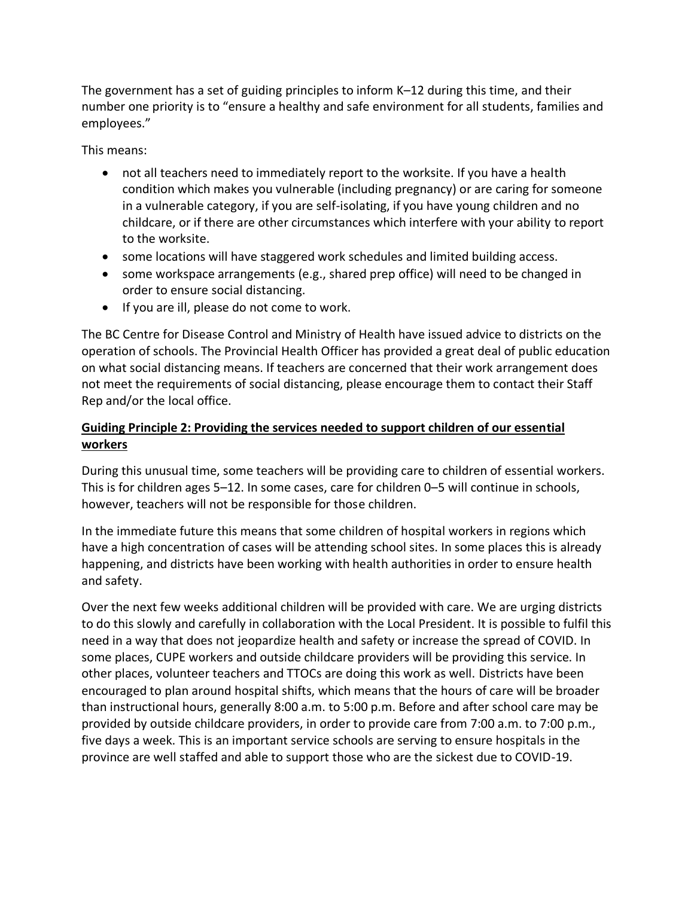The government has a set of guiding principles to inform K–12 during this time, and their number one priority is to "ensure a healthy and safe environment for all students, families and employees."

This means:

- not all teachers need to immediately report to the worksite. If you have a health condition which makes you vulnerable (including pregnancy) or are caring for someone in a vulnerable category, if you are self-isolating, if you have young children and no childcare, or if there are other circumstances which interfere with your ability to report to the worksite.
- some locations will have staggered work schedules and limited building access.
- some workspace arrangements (e.g., shared prep office) will need to be changed in order to ensure social distancing.
- If you are ill, please do not come to work.

The BC Centre for Disease Control and Ministry of Health have issued advice to districts on the operation of schools. The Provincial Health Officer has provided a great deal of public education on what social distancing means. If teachers are concerned that their work arrangement does not meet the requirements of social distancing, please encourage them to contact their Staff Rep and/or the local office.

# **Guiding Principle 2: Providing the services needed to support children of our essential workers**

During this unusual time, some teachers will be providing care to children of essential workers. This is for children ages 5–12. In some cases, care for children 0–5 will continue in schools, however, teachers will not be responsible for those children.

In the immediate future this means that some children of hospital workers in regions which have a high concentration of cases will be attending school sites. In some places this is already happening, and districts have been working with health authorities in order to ensure health and safety.

Over the next few weeks additional children will be provided with care. We are urging districts to do this slowly and carefully in collaboration with the Local President. It is possible to fulfil this need in a way that does not jeopardize health and safety or increase the spread of COVID. In some places, CUPE workers and outside childcare providers will be providing this service. In other places, volunteer teachers and TTOCs are doing this work as well. Districts have been encouraged to plan around hospital shifts, which means that the hours of care will be broader than instructional hours, generally 8:00 a.m. to 5:00 p.m. Before and after school care may be provided by outside childcare providers, in order to provide care from 7:00 a.m. to 7:00 p.m., five days a week. This is an important service schools are serving to ensure hospitals in the province are well staffed and able to support those who are the sickest due to COVID-19.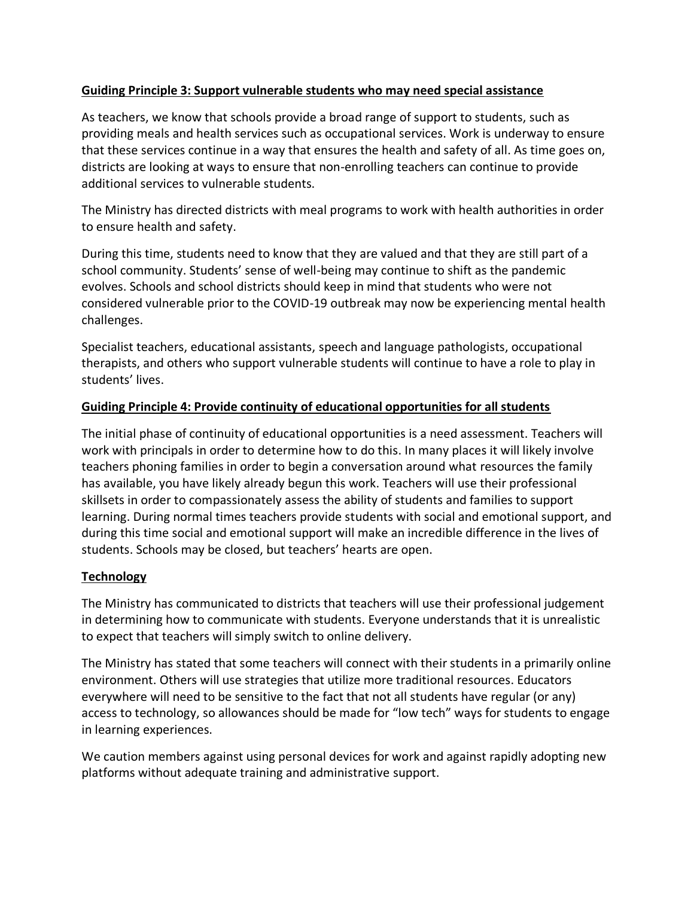### **Guiding Principle 3: Support vulnerable students who may need special assistance**

As teachers, we know that schools provide a broad range of support to students, such as providing meals and health services such as occupational services. Work is underway to ensure that these services continue in a way that ensures the health and safety of all. As time goes on, districts are looking at ways to ensure that non-enrolling teachers can continue to provide additional services to vulnerable students.

The Ministry has directed districts with meal programs to work with health authorities in order to ensure health and safety.

During this time, students need to know that they are valued and that they are still part of a school community. Students' sense of well-being may continue to shift as the pandemic evolves. Schools and school districts should keep in mind that students who were not considered vulnerable prior to the COVID-19 outbreak may now be experiencing mental health challenges.

Specialist teachers, educational assistants, speech and language pathologists, occupational therapists, and others who support vulnerable students will continue to have a role to play in students' lives.

#### **Guiding Principle 4: Provide continuity of educational opportunities for all students**

The initial phase of continuity of educational opportunities is a need assessment. Teachers will work with principals in order to determine how to do this. In many places it will likely involve teachers phoning families in order to begin a conversation around what resources the family has available, you have likely already begun this work. Teachers will use their professional skillsets in order to compassionately assess the ability of students and families to support learning. During normal times teachers provide students with social and emotional support, and during this time social and emotional support will make an incredible difference in the lives of students. Schools may be closed, but teachers' hearts are open.

# **Technology**

The Ministry has communicated to districts that teachers will use their professional judgement in determining how to communicate with students. Everyone understands that it is unrealistic to expect that teachers will simply switch to online delivery.

The Ministry has stated that some teachers will connect with their students in a primarily online environment. Others will use strategies that utilize more traditional resources. Educators everywhere will need to be sensitive to the fact that not all students have regular (or any) access to technology, so allowances should be made for "low tech" ways for students to engage in learning experiences.

We caution members against using personal devices for work and against rapidly adopting new platforms without adequate training and administrative support.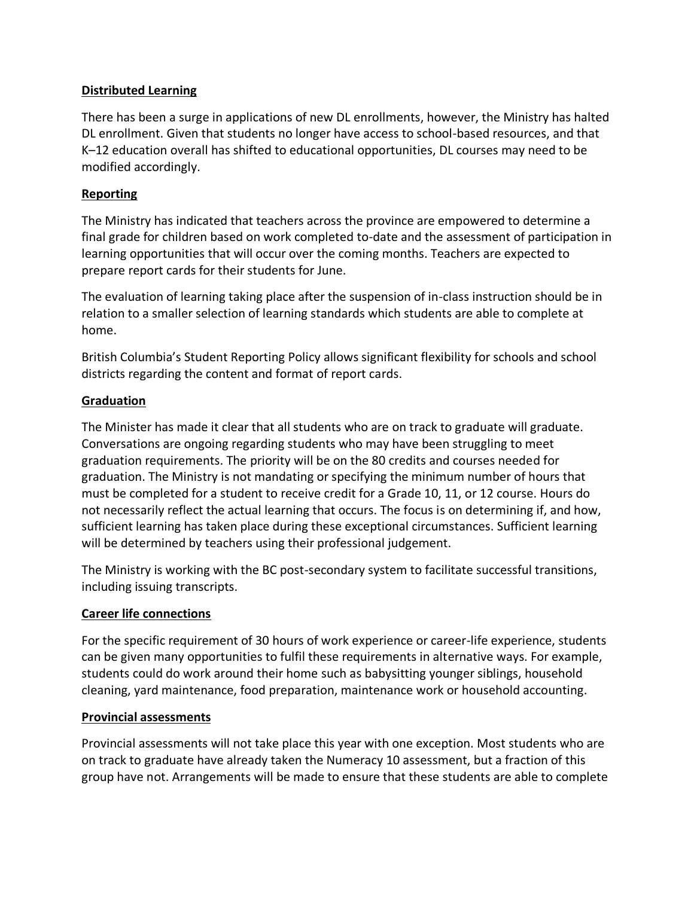### **Distributed Learning**

There has been a surge in applications of new DL enrollments, however, the Ministry has halted DL enrollment. Given that students no longer have access to school-based resources, and that K–12 education overall has shifted to educational opportunities, DL courses may need to be modified accordingly.

#### **Reporting**

The Ministry has indicated that teachers across the province are empowered to determine a final grade for children based on work completed to-date and the assessment of participation in learning opportunities that will occur over the coming months. Teachers are expected to prepare report cards for their students for June.

The evaluation of learning taking place after the suspension of in-class instruction should be in relation to a smaller selection of learning standards which students are able to complete at home.

British Columbia's Student Reporting Policy allows significant flexibility for schools and school districts regarding the content and format of report cards.

#### **Graduation**

The Minister has made it clear that all students who are on track to graduate will graduate. Conversations are ongoing regarding students who may have been struggling to meet graduation requirements. The priority will be on the 80 credits and courses needed for graduation. The Ministry is not mandating or specifying the minimum number of hours that must be completed for a student to receive credit for a Grade 10, 11, or 12 course. Hours do not necessarily reflect the actual learning that occurs. The focus is on determining if, and how, sufficient learning has taken place during these exceptional circumstances. Sufficient learning will be determined by teachers using their professional judgement.

The Ministry is working with the BC post-secondary system to facilitate successful transitions, including issuing transcripts.

#### **Career life connections**

For the specific requirement of 30 hours of work experience or career-life experience, students can be given many opportunities to fulfil these requirements in alternative ways. For example, students could do work around their home such as babysitting younger siblings, household cleaning, yard maintenance, food preparation, maintenance work or household accounting.

#### **Provincial assessments**

Provincial assessments will not take place this year with one exception. Most students who are on track to graduate have already taken the Numeracy 10 assessment, but a fraction of this group have not. Arrangements will be made to ensure that these students are able to complete